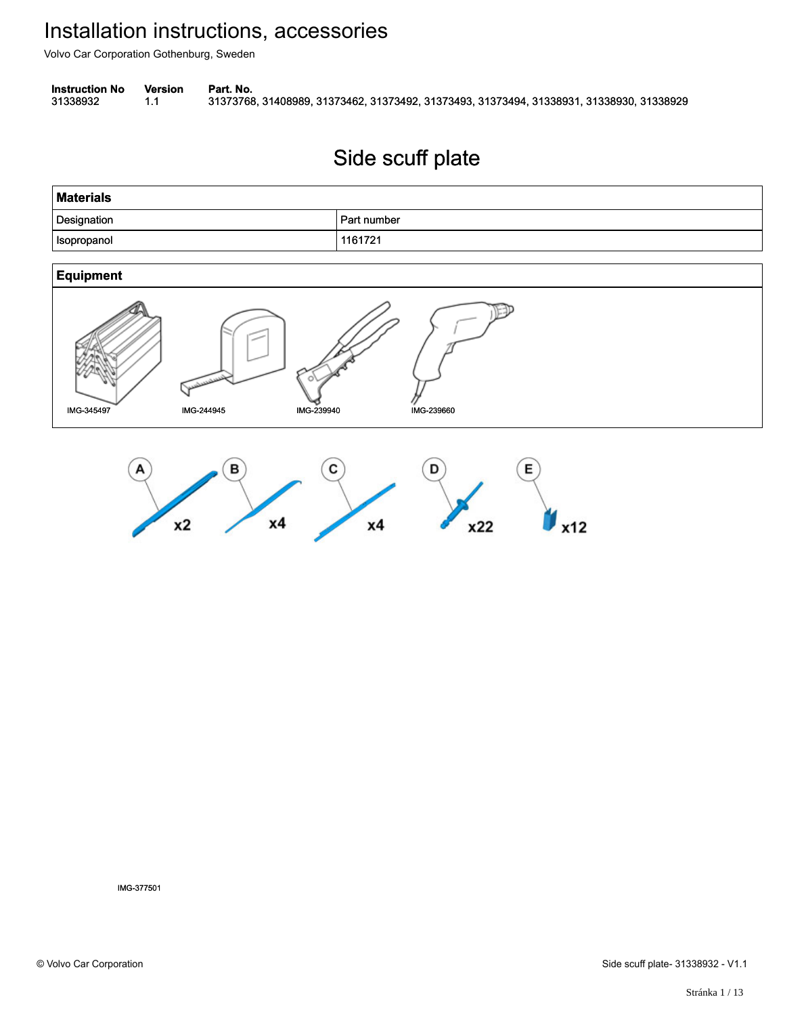Volvo Car Corporation Gothenburg, Sweden

**Instruction No** Version Part. No.

31338932 1.1 31373768, 31408989, 31373462, 31373492, 31373493, 31373494, 31338931, 31338930, 31338929 313389321.131373768, 31408989, 31373462, 31373492, 31373493, 31373494, 31338931, 31338930, 31338929

#### Side scuff plate Side scuff plate

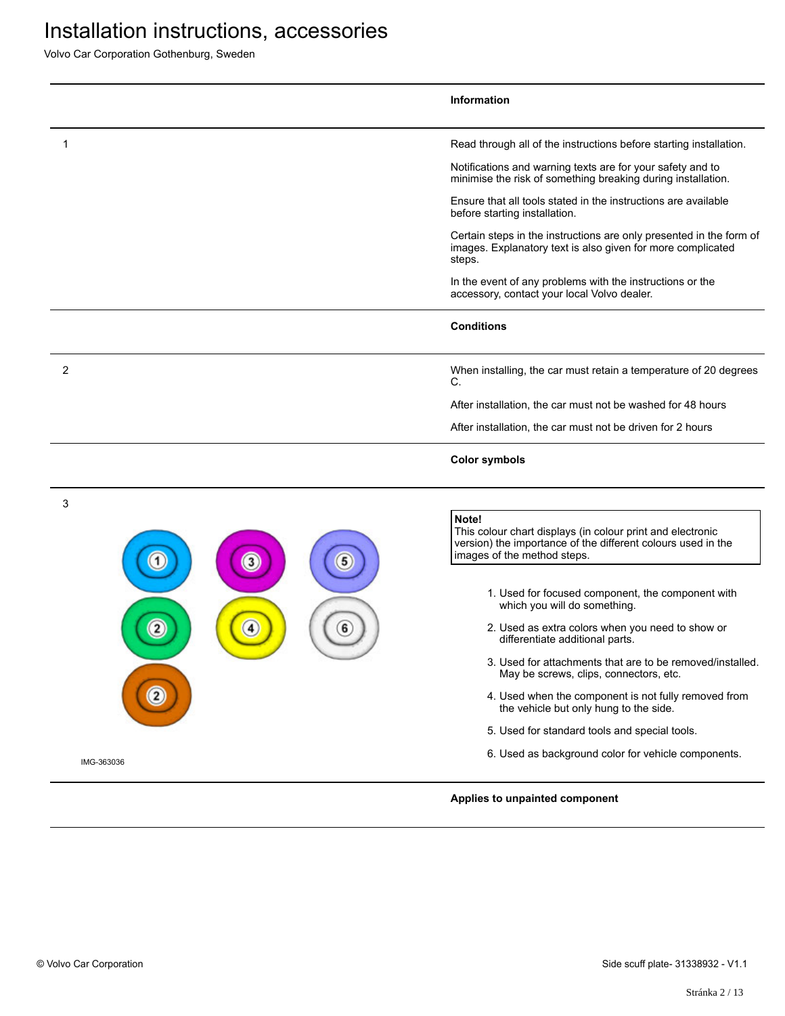|             | Information                                                                                                                                                        |
|-------------|--------------------------------------------------------------------------------------------------------------------------------------------------------------------|
| 1           | Read through all of the instructions before starting installation.                                                                                                 |
|             | Notifications and warning texts are for your safety and to<br>minimise the risk of something breaking during installation.                                         |
|             | Ensure that all tools stated in the instructions are available<br>before starting installation.                                                                    |
|             | Certain steps in the instructions are only presented in the form of<br>images. Explanatory text is also given for more complicated<br>steps.                       |
|             | In the event of any problems with the instructions or the<br>accessory, contact your local Volvo dealer.                                                           |
|             | <b>Conditions</b>                                                                                                                                                  |
| 2           | When installing, the car must retain a temperature of 20 degrees<br>C.                                                                                             |
|             | After installation, the car must not be washed for 48 hours                                                                                                        |
|             | After installation, the car must not be driven for 2 hours                                                                                                         |
|             | <b>Color symbols</b>                                                                                                                                               |
| 3<br>5<br>3 | Note!<br>This colour chart displays (in colour print and electronic<br>version) the importance of the different colours used in the<br>images of the method steps. |
|             | 1. Used for focused component, the component with<br>which you will do something.                                                                                  |
| 6           | 2. Used as extra colors when you need to show or<br>differentiate additional parts.                                                                                |
|             | 3. Used for attachments that are to be removed/installed.<br>May be screws, clips, connectors, etc.                                                                |
|             | 4. Used when the component is not fully removed from<br>the vehicle but only hung to the side.                                                                     |
|             | 5. Used for standard tools and special tools.                                                                                                                      |
|             | 6. Used as background color for vehicle components.                                                                                                                |
| IMG-363036  |                                                                                                                                                                    |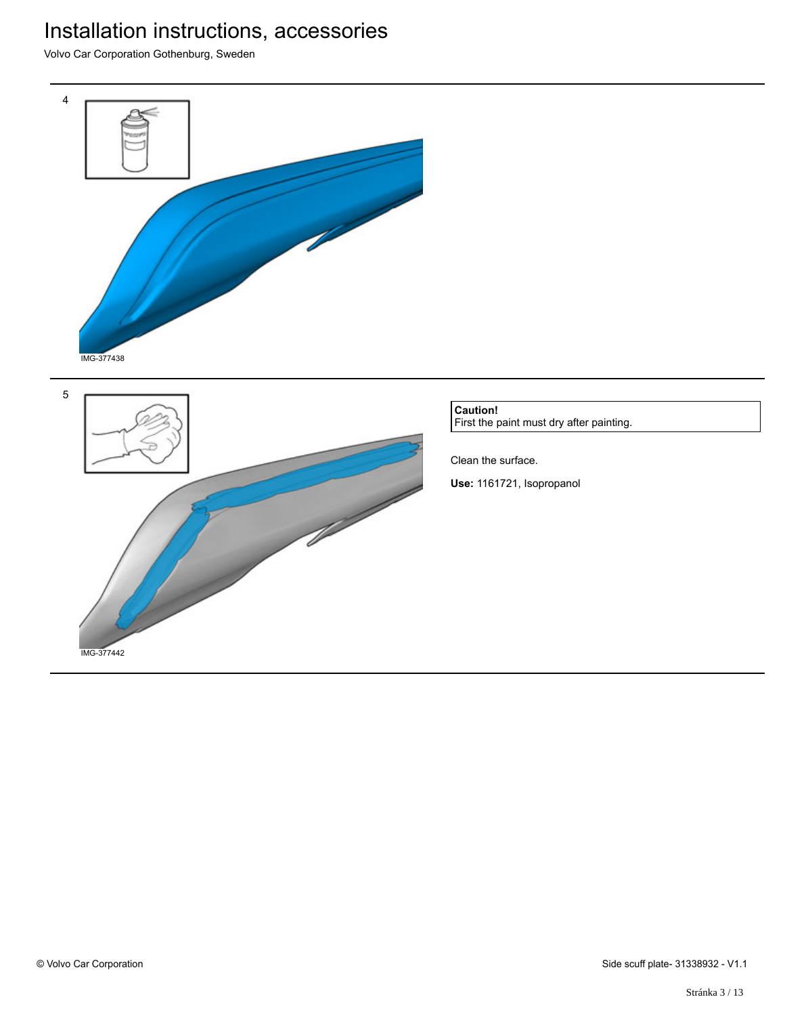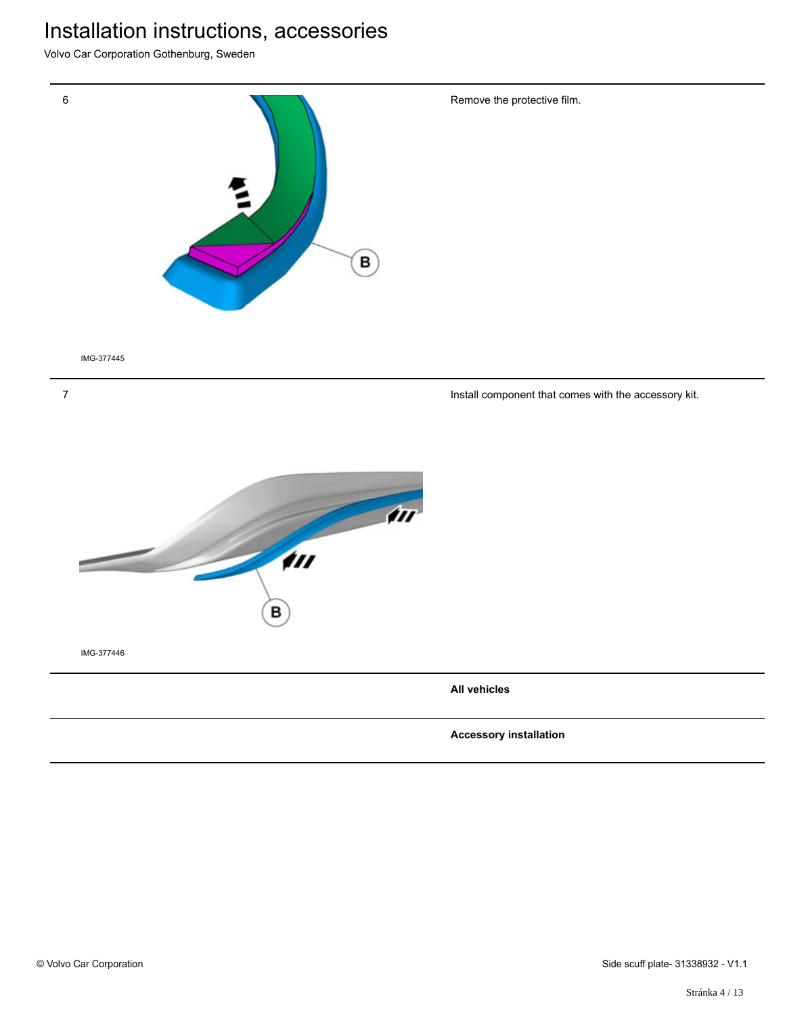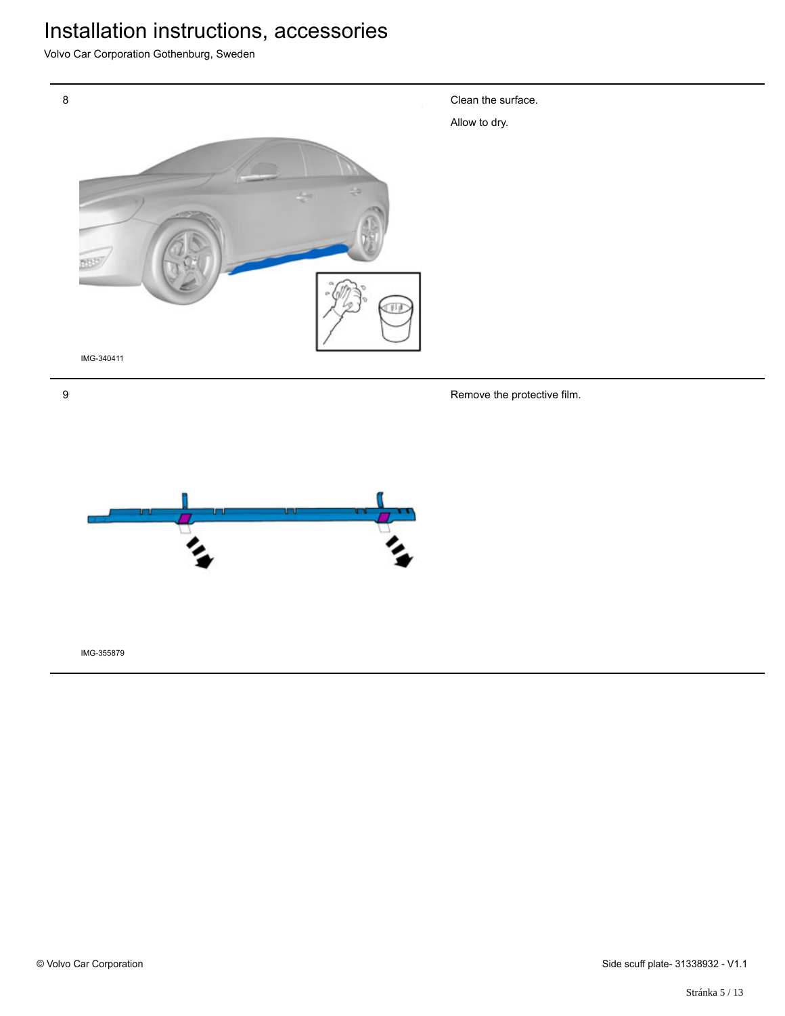Volvo Car Corporation Gothenburg, Sweden



Clean the surface.

9

Remove the protective film.

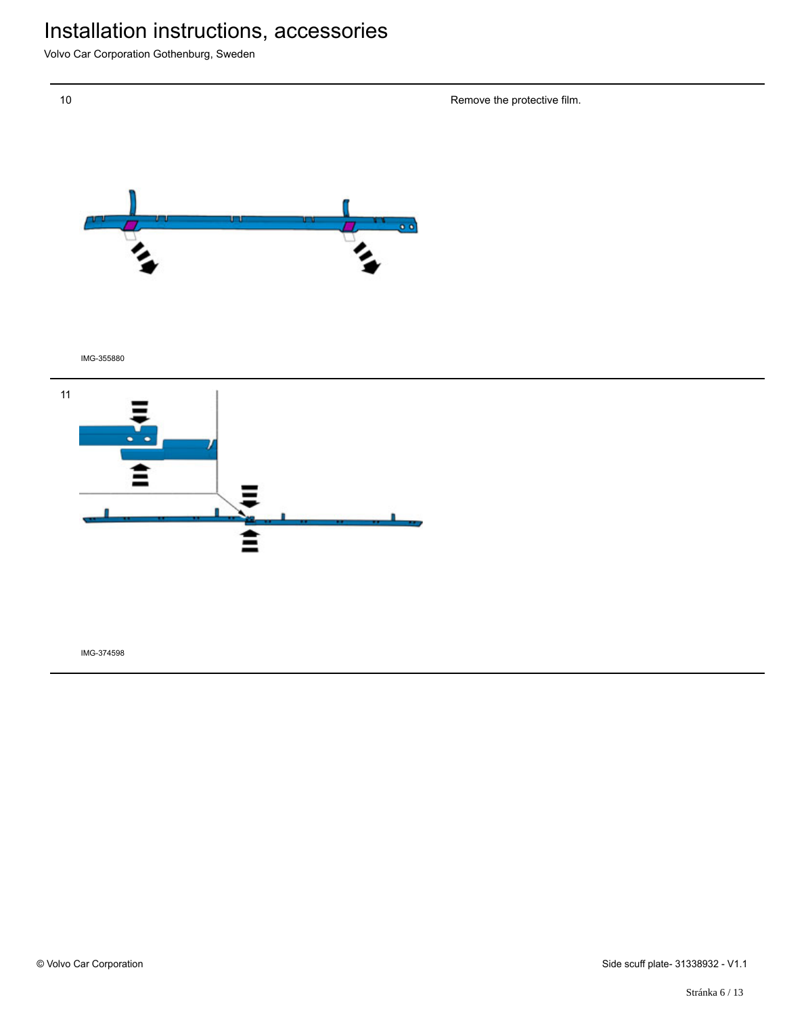Volvo Car Corporation Gothenburg, Sweden

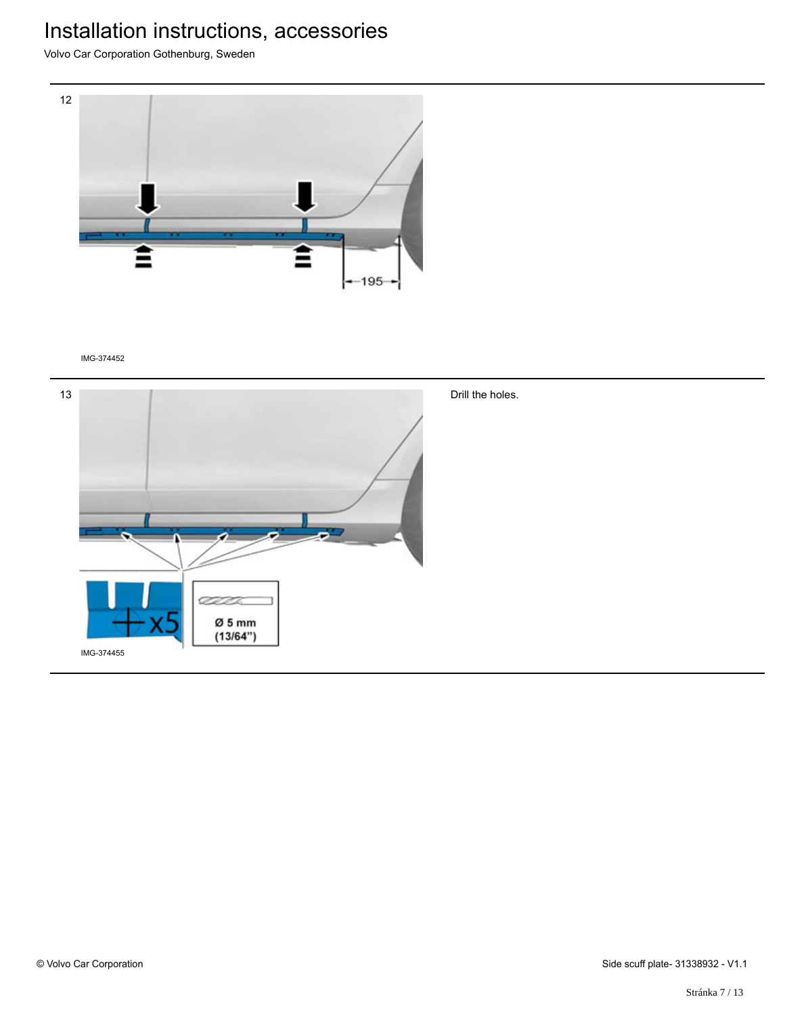Volvo Car Corporation Gothenburg, Sweden



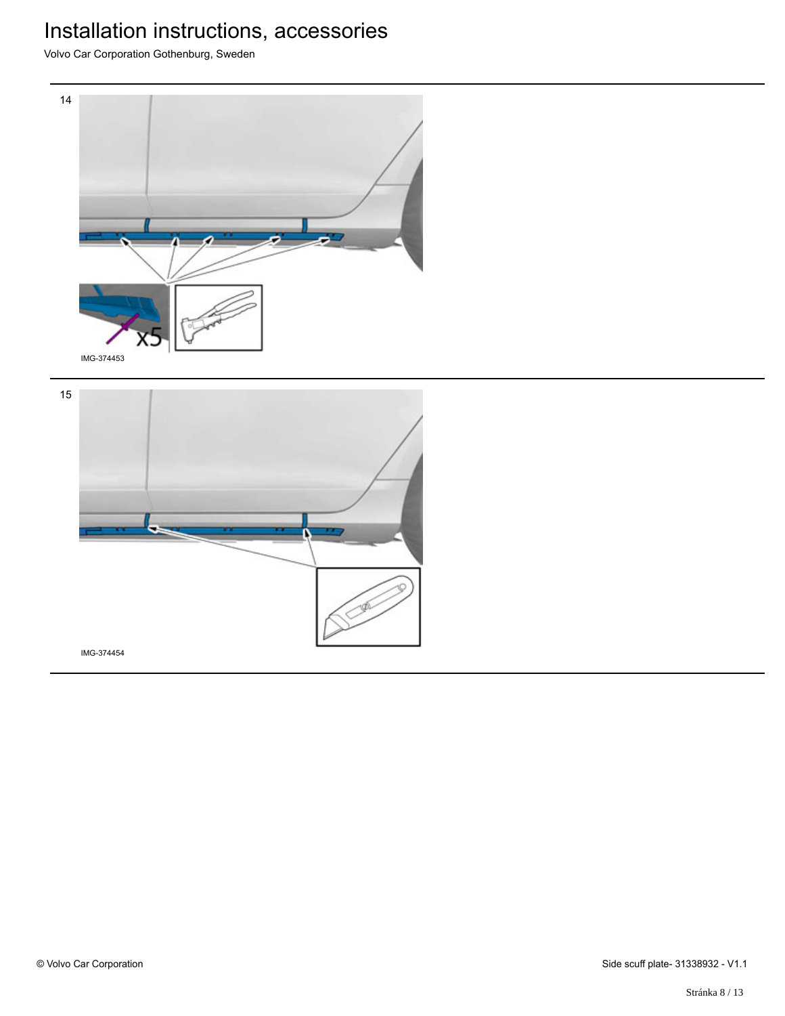

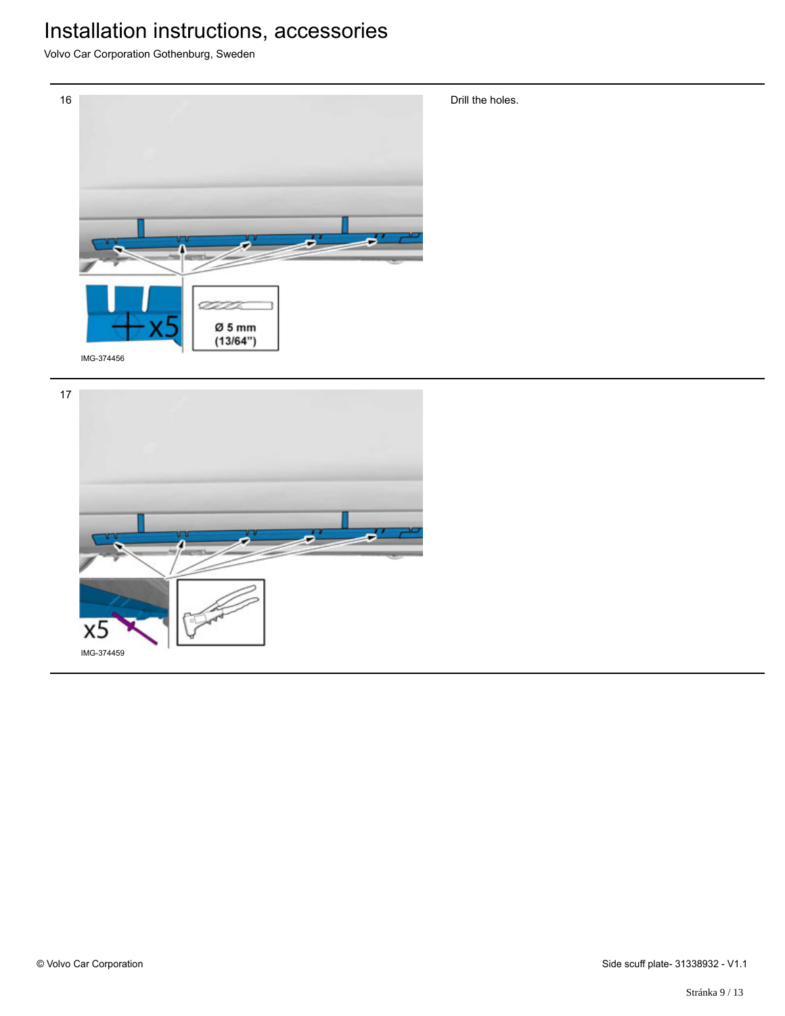

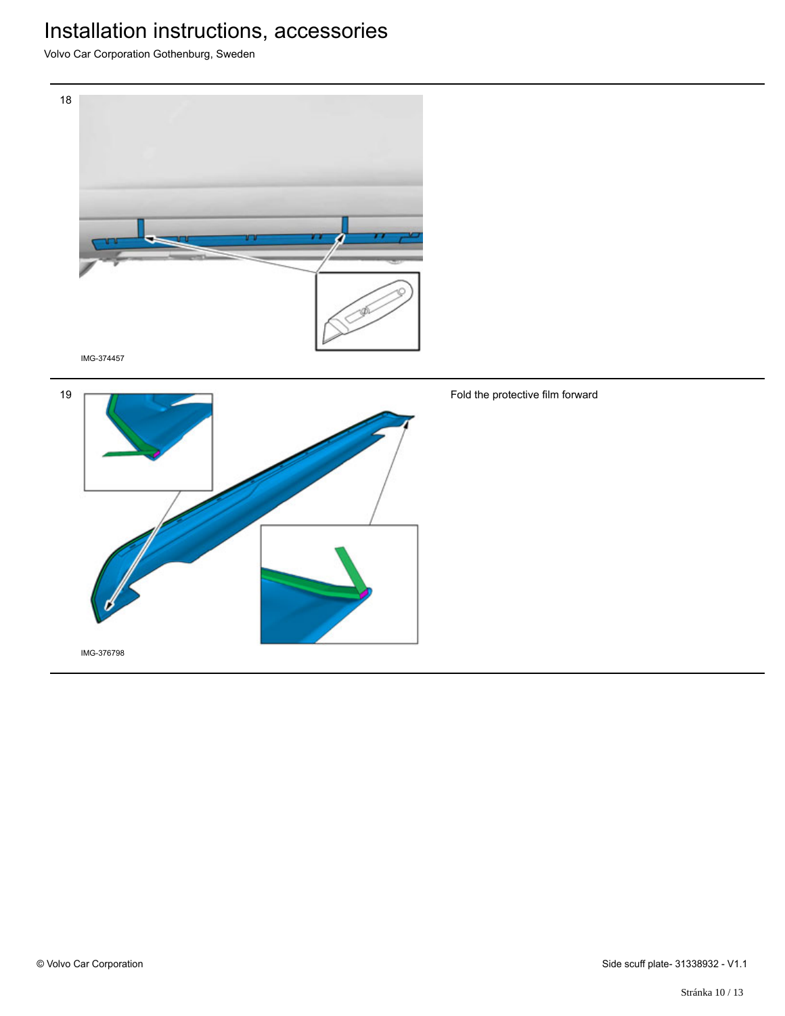Volvo Car Corporation Gothenburg, Sweden





Fold the protective film forward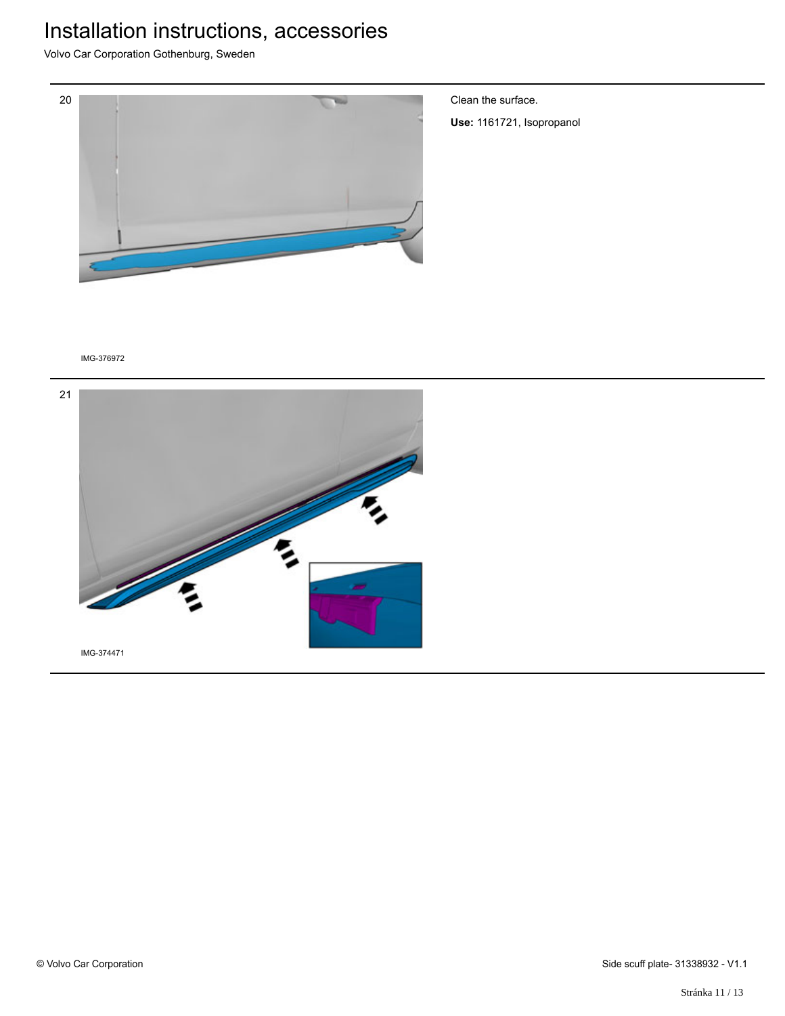Volvo Car Corporation Gothenburg, Sweden



Clean the surface.

**Use:** 1161721, Isopropanol

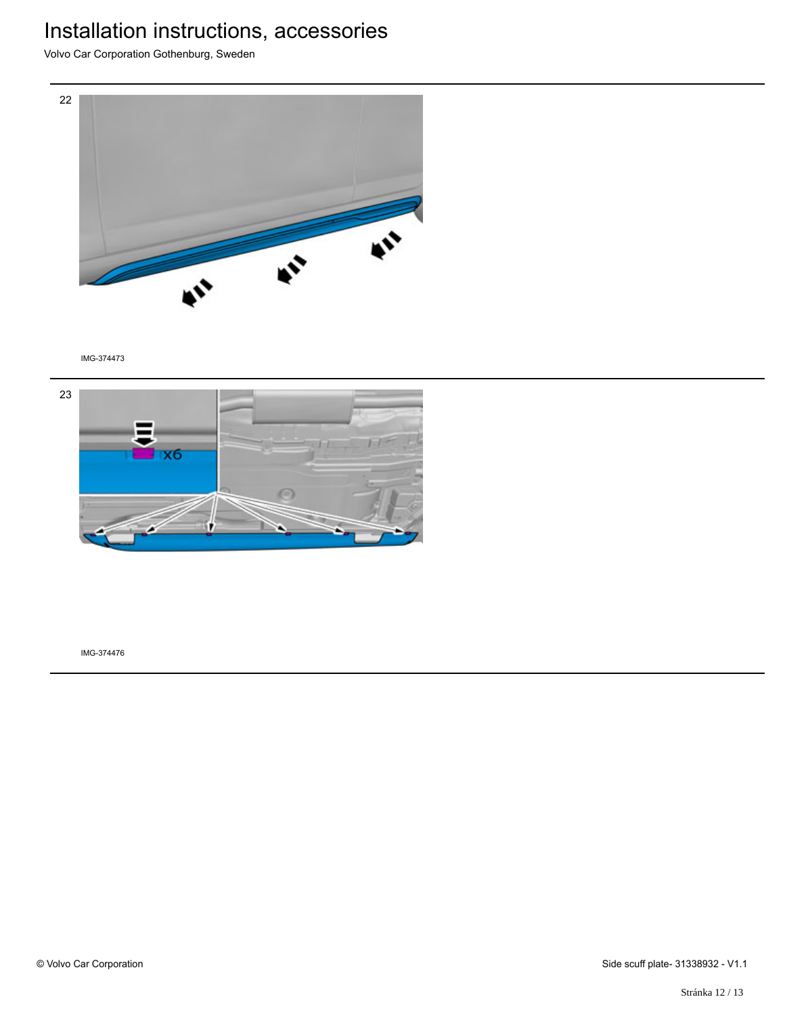Volvo Car Corporation Gothenburg, Sweden



IMG-374473